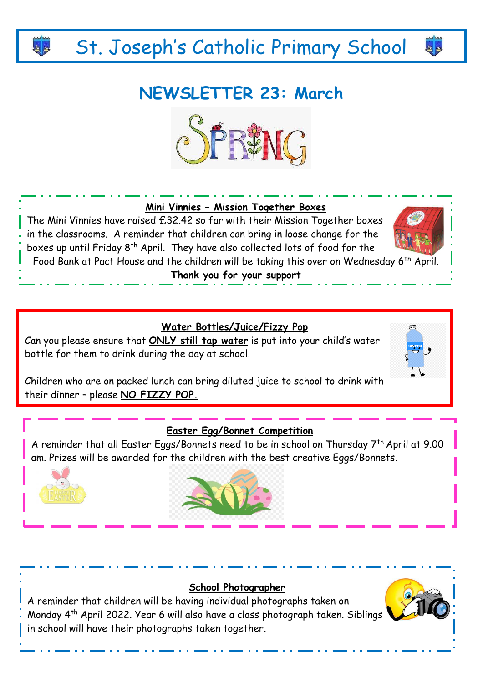# St. Joseph's Catholic Primary School

# **NEWSLETTER 23: March**



# **Mini Vinnies – Mission Together Boxes**

The Mini Vinnies have raised £32.42 so far with their Mission Together boxes in the classrooms. A reminder that children can bring in loose change for the boxes up until Friday 8<sup>th</sup> April. They have also collected lots of food for the



 $48$ 

Food Bank at Pact House and the children will be taking this over on Wednesday 6th April.

**Thank you for your support**

# **Water Bottles/Juice/Fizzy Pop**

Can you please ensure that **ONLY still tap water** is put into your child's water bottle for them to drink during the day at school.



Children who are on packed lunch can bring diluted juice to school to drink with their dinner – please **NO FIZZY POP.** 

#### **Easter Egg/Bonnet Competition**

A reminder that all Easter Eggs/Bonnets need to be in school on Thursday 7th April at 9.00 am. Prizes will be awarded for the children with the best creative Eggs/Bonnets.





#### **School Photographer**

A reminder that children will be having individual photographs taken on Monday 4<sup>th</sup> April 2022. Year 6 will also have a class photograph taken. Siblings in school will have their photographs taken together.

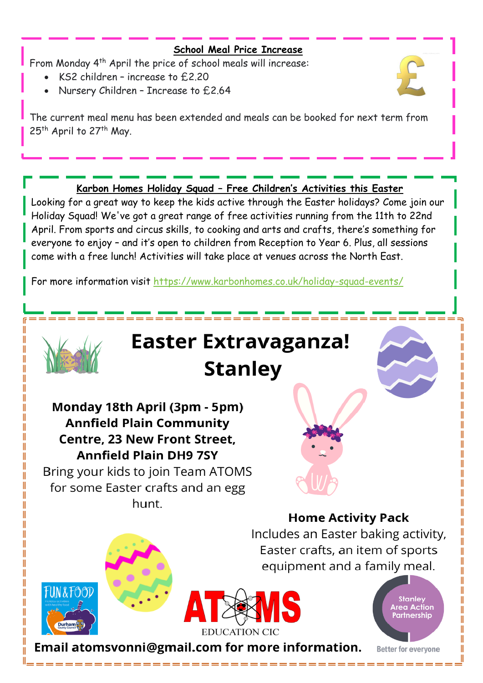## **School Meal Price Increase**

From Monday 4<sup>th</sup> April the price of school meals will increase:

- KS2 children increase to £2.20
- Nursery Children Increase to £2.64



The current meal menu has been extended and meals can be booked for next term from 25<sup>th</sup> April to 27<sup>th</sup> May.

# **Karbon Homes Holiday Squad – Free Children's Activities this Easter**

Looking for a great way to keep the kids active through the Easter holidays? Come join our Holiday Squad! We've got a great range of free activities running from the 11th to 22nd April. From sports and circus skills, to cooking and arts and crafts, there's something for everyone to enjoy – and it's open to children from Reception to Year 6. Plus, all sessions come with a free lunch! Activities will take place at venues across the North East.

For more information visit<https://www.karbonhomes.co.uk/holiday-squad-events/>